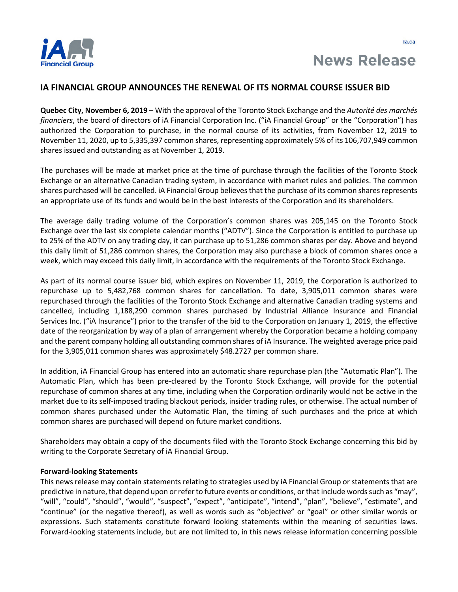

## **IA FINANCIAL GROUP ANNOUNCES THE RENEWAL OF ITS NORMAL COURSE ISSUER BID**

**Quebec City, November 6, 2019** – With the approval of the Toronto Stock Exchange and the *Autorité des marchés financiers*, the board of directors of iA Financial Corporation Inc. ("iA Financial Group" or the "Corporation") has authorized the Corporation to purchase, in the normal course of its activities, from November 12, 2019 to November 11, 2020, up to 5,335,397 common shares, representing approximately 5% of its 106,707,949 common shares issued and outstanding as at November 1, 2019.

The purchases will be made at market price at the time of purchase through the facilities of the Toronto Stock Exchange or an alternative Canadian trading system, in accordance with market rules and policies. The common shares purchased will be cancelled. iA Financial Group believes that the purchase of its common shares represents an appropriate use of its funds and would be in the best interests of the Corporation and its shareholders.

The average daily trading volume of the Corporation's common shares was 205,145 on the Toronto Stock Exchange over the last six complete calendar months ("ADTV"). Since the Corporation is entitled to purchase up to 25% of the ADTV on any trading day, it can purchase up to 51,286 common shares per day. Above and beyond this daily limit of 51,286 common shares, the Corporation may also purchase a block of common shares once a week, which may exceed this daily limit, in accordance with the requirements of the Toronto Stock Exchange.

As part of its normal course issuer bid, which expires on November 11, 2019, the Corporation is authorized to repurchase up to 5,482,768 common shares for cancellation. To date, 3,905,011 common shares were repurchased through the facilities of the Toronto Stock Exchange and alternative Canadian trading systems and cancelled, including 1,188,290 common shares purchased by Industrial Alliance Insurance and Financial Services Inc. ("iA Insurance") prior to the transfer of the bid to the Corporation on January 1, 2019, the effective date of the reorganization by way of a plan of arrangement whereby the Corporation became a holding company and the parent company holding all outstanding common shares of iA Insurance. The weighted average price paid for the 3,905,011 common shares was approximately \$48.2727 per common share.

In addition, iA Financial Group has entered into an automatic share repurchase plan (the "Automatic Plan"). The Automatic Plan, which has been pre-cleared by the Toronto Stock Exchange, will provide for the potential repurchase of common shares at any time, including when the Corporation ordinarily would not be active in the market due to its self-imposed trading blackout periods, insider trading rules, or otherwise. The actual number of common shares purchased under the Automatic Plan, the timing of such purchases and the price at which common shares are purchased will depend on future market conditions.

Shareholders may obtain a copy of the documents filed with the Toronto Stock Exchange concerning this bid by writing to the Corporate Secretary of iA Financial Group.

## **Forward-looking Statements**

This news release may contain statements relating to strategies used by iA Financial Group or statements that are predictive in nature, that depend upon or refer to future events or conditions, or that include words such as "may", "will", "could", "should", "would", "suspect", "expect", "anticipate", "intend", "plan", "believe", "estimate", and "continue" (or the negative thereof), as well as words such as "objective" or "goal" or other similar words or expressions. Such statements constitute forward looking statements within the meaning of securities laws. Forward-looking statements include, but are not limited to, in this news release information concerning possible